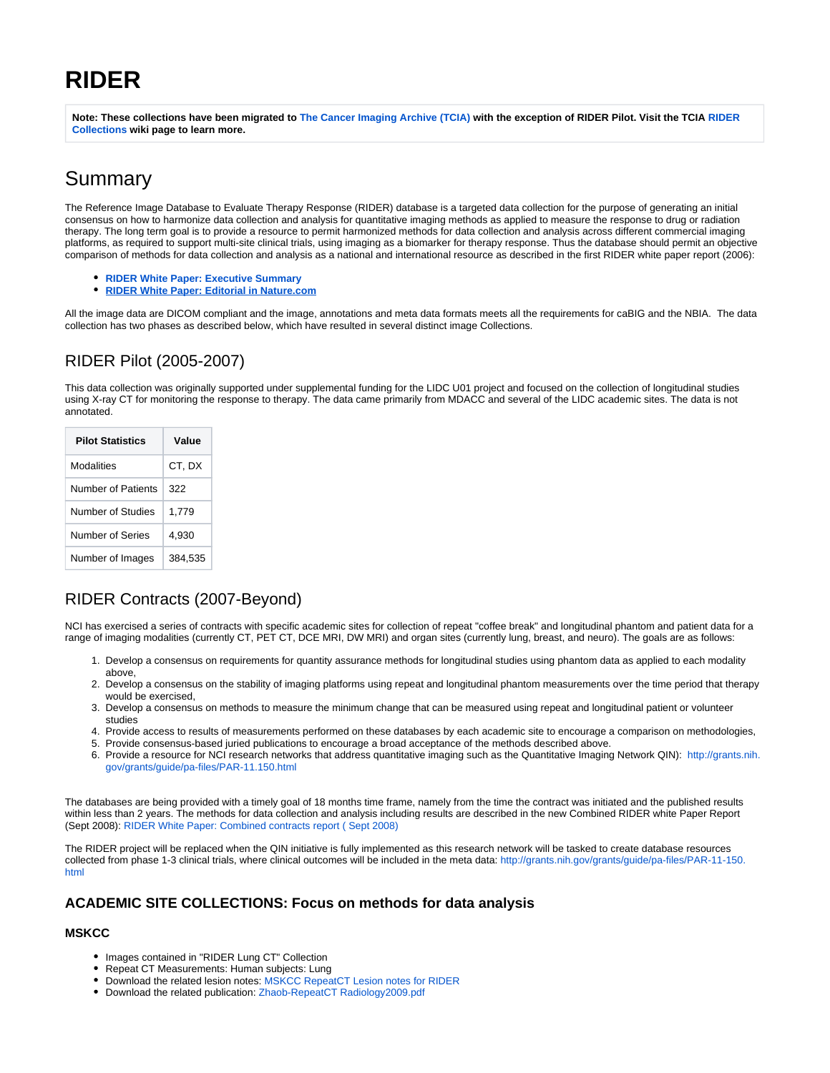# **RIDER**

**Note: These collections have been migrated to [The Cancer Imaging Archive \(TCIA\)](http://cancerimagingarchive.net) with the exception of RIDER Pilot. Visit the TCIA [RIDER](https://wiki.cancerimagingarchive.net/x/EAA9)  [Collections](https://wiki.cancerimagingarchive.net/x/EAA9) wiki page to learn more.**

## Summary

The Reference Image Database to Evaluate Therapy Response (RIDER) database is a targeted data collection for the purpose of generating an initial consensus on how to harmonize data collection and analysis for quantitative imaging methods as applied to measure the response to drug or radiation therapy. The long term goal is to provide a resource to permit harmonized methods for data collection and analysis across different commercial imaging platforms, as required to support multi-site clinical trials, using imaging as a biomarker for therapy response. Thus the database should permit an objective comparison of methods for data collection and analysis as a national and international resource as described in the first RIDER white paper report (2006):

- **[RIDER White Paper: Executive Summary](https://wiki.nci.nih.gov/download/attachments/13503227/RIDER-executive-summaryA_071306_508_compliant.pdf?version=1&modificationDate=1350521349000&api=v2)**
- **[RIDER White Paper: Editorial in Nature.com](http://www.nature.com/clpt/journal/v84/n4/full/clpt2008171a.html)**

All the image data are DICOM compliant and the image, annotations and meta data formats meets all the requirements for caBIG and the NBIA. The data collection has two phases as described below, which have resulted in several distinct image Collections.

## RIDER Pilot (2005-2007)

This data collection was originally supported under supplemental funding for the LIDC U01 project and focused on the collection of longitudinal studies using X-ray CT for monitoring the response to therapy. The data came primarily from MDACC and several of the LIDC academic sites. The data is not annotated.

| <b>Pilot Statistics</b> | Value   |
|-------------------------|---------|
| Modalities              | CT, DX  |
| Number of Patients      | 322     |
| Number of Studies       | 1.779   |
| Number of Series        | 4.930   |
| Number of Images        | 384.535 |

## RIDER Contracts (2007-Beyond)

NCI has exercised a series of contracts with specific academic sites for collection of repeat "coffee break" and longitudinal phantom and patient data for a range of imaging modalities (currently CT, PET CT, DCE MRI, DW MRI) and organ sites (currently lung, breast, and neuro). The goals are as follows:

- 1. Develop a consensus on requirements for quantity assurance methods for longitudinal studies using phantom data as applied to each modality above,
- 2. Develop a consensus on the stability of imaging platforms using repeat and longitudinal phantom measurements over the time period that therapy would be exercised,
- 3. Develop a consensus on methods to measure the minimum change that can be measured using repeat and longitudinal patient or volunteer studies
- 4. Provide access to results of measurements performed on these databases by each academic site to encourage a comparison on methodologies,
- 5. Provide consensus-based juried publications to encourage a broad acceptance of the methods described above.
- 6. Provide a resource for NCI research networks that address quantitative imaging such as the Quantitative Imaging Network QIN): [http://grants.nih.](http://grants.nih.gov/grants/guide/pa-files/PAR-11-150.html) [gov/grants/guide/pa-files/PAR-11.150.html](http://grants.nih.gov/grants/guide/pa-files/PAR-11-150.html)

The databases are being provided with a timely goal of 18 months time frame, namely from the time the contract was initiated and the published results within less than 2 years. The methods for data collection and analysis including results are described in the new Combined RIDER white Paper Report (Sept 2008): [RIDER White Paper: Combined contracts report \( Sept 2008\)](https://wiki.nci.nih.gov/download/attachments/13503227/RIDER-newCombined_Report_508_compliant.pdf?version=1&modificationDate=1350521353000&api=v2)

The RIDER project will be replaced when the QIN initiative is fully implemented as this research network will be tasked to create database resources collected from phase 1-3 clinical trials, where clinical outcomes will be included in the meta data: [http://grants.nih.gov/grants/guide/pa-files/PAR-11-150.](http://grants.nih.gov/grants/guide/pa-files/PAR-11-150.html) [html](http://grants.nih.gov/grants/guide/pa-files/PAR-11-150.html)

#### **ACADEMIC SITE COLLECTIONS: Focus on methods for data analysis**

#### **MSKCC**

- Images contained in "RIDER Lung CT" Collection
- Repeat CT Measurements: Human subjects: Lung
- Download the related lesion notes: [MSKCC RepeatCT Lesion notes for RIDER](https://wiki.nci.nih.gov/download/attachments/13503227/MSKCC_RepeatCT_Lesion_notes_for_RIDER_508_compliant.xls?version=1&modificationDate=1350521339000&api=v2)
- Download the related publication: [Zhaob-RepeatCT Radiology2009.pdf](http://radiology.rsnajnls.org/cgi/reprint/252/1/263?maxtoshow=&HITS=10&hits=10&RESULTFORMAT=&fulltext=binsheng+zhao&searchid=1&FIRSTINDEX=0&resourcetype=)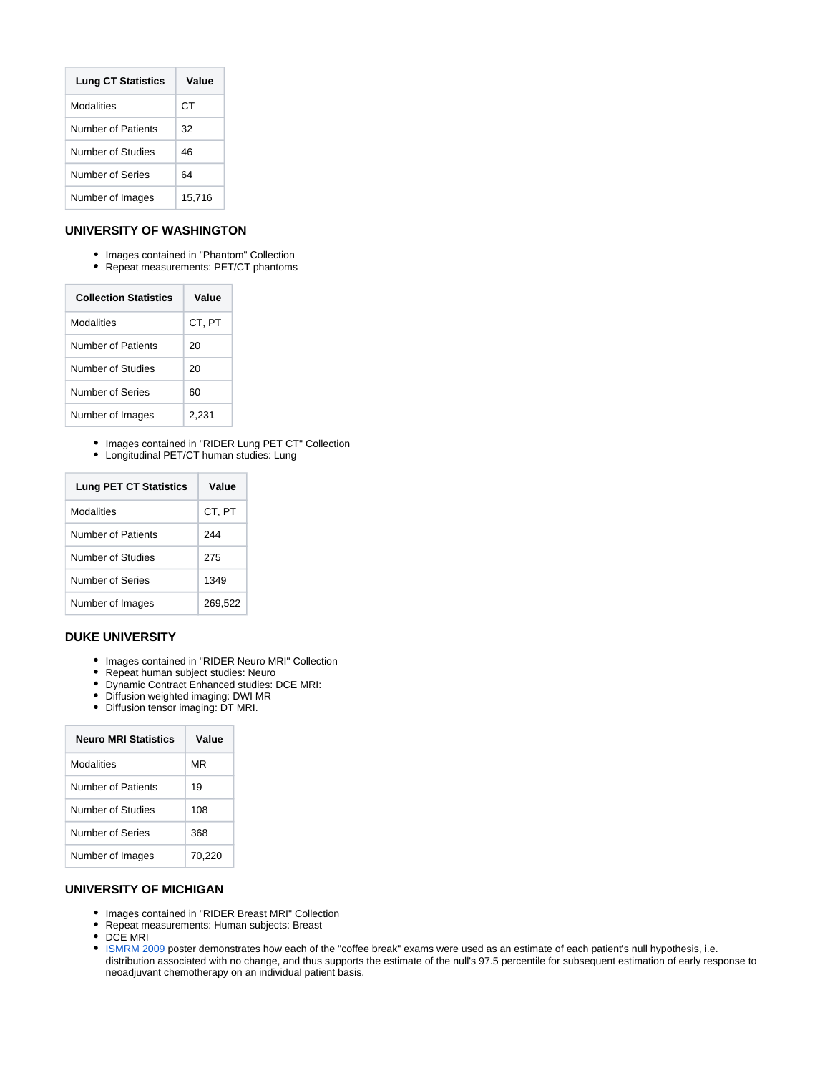| <b>Lung CT Statistics</b> | Value  |
|---------------------------|--------|
| Modalities                | СT     |
| Number of Patients        | 32     |
| Number of Studies         | 46     |
| Number of Series          | 64     |
| Number of Images          | 15,716 |

#### **UNIVERSITY OF WASHINGTON**

- Images contained in "Phantom" Collection
- Repeat measurements: PET/CT phantoms

| <b>Collection Statistics</b> | Value  |
|------------------------------|--------|
| Modalities                   | CT. PT |
| Number of Patients           | 20     |
| Number of Studies            | 20     |
| Number of Series             | 60     |
| Number of Images             | 2,231  |

- Images contained in "RIDER Lung PET CT" Collection
- Longitudinal PET/CT human studies: Lung

| <b>Lung PET CT Statistics</b> | Value   |
|-------------------------------|---------|
| Modalities                    | CT, PT  |
| Number of Patients            | 244     |
| Number of Studies             | 275     |
| Number of Series              | 1349    |
| Number of Images              | 269,522 |

#### **DUKE UNIVERSITY**

- Images contained in "RIDER Neuro MRI" Collection
- $\bullet$ Repeat human subject studies: Neuro
- Dynamic Contract Enhanced studies: DCE MRI:
- Diffusion weighted imaging: DWI MR
- Diffusion tensor imaging: DT MRI.

| <b>Neuro MRI Statistics</b> | Value  |
|-----------------------------|--------|
| Modalities                  | MR     |
| Number of Patients          | 19     |
| Number of Studies           | 108    |
| Number of Series            | 368    |
| Number of Images            | 70,220 |

#### **UNIVERSITY OF MICHIGAN**

- Images contained in "RIDER Breast MRI" Collection
- Repeat measurements: Human subjects: Breast
- DCE MRI
- [ISMRM 2009](https://wiki.nci.nih.gov/download/attachments/13503227/Meyer%2Cet_al_%282009%29_ISMRM_Poster_508_compliant_QCheck.pdf?version=1&modificationDate=1350521318000&api=v2) poster demonstrates how each of the "coffee break" exams were used as an estimate of each patient's null hypothesis, i.e. distribution associated with no change, and thus supports the estimate of the null's 97.5 percentile for subsequent estimation of early response to neoadjuvant chemotherapy on an individual patient basis.